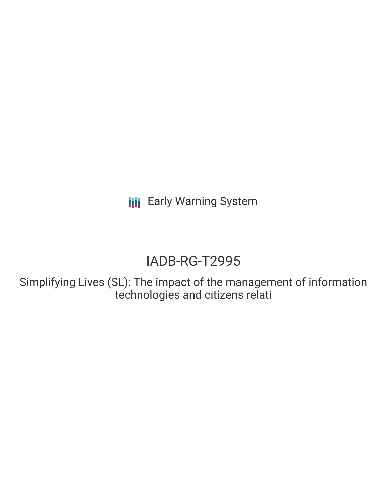**III** Early Warning System

# IADB-RG-T2995

Simplifying Lives (SL): The impact of the management of information technologies and citizens relati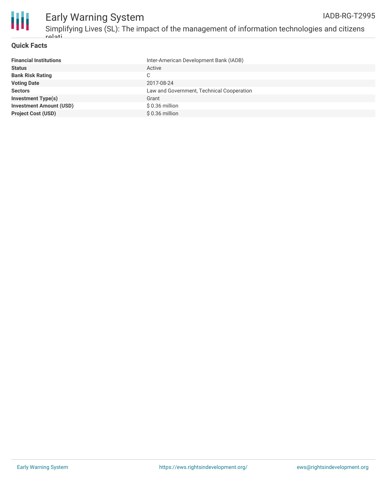

#### **Quick Facts**

| <b>Financial Institutions</b>  | Inter-American Development Bank (IADB)    |
|--------------------------------|-------------------------------------------|
| <b>Status</b>                  | Active                                    |
| <b>Bank Risk Rating</b>        | C                                         |
| <b>Voting Date</b>             | 2017-08-24                                |
| <b>Sectors</b>                 | Law and Government, Technical Cooperation |
| <b>Investment Type(s)</b>      | Grant                                     |
| <b>Investment Amount (USD)</b> | $$0.36$ million                           |
| <b>Project Cost (USD)</b>      | $$0.36$ million                           |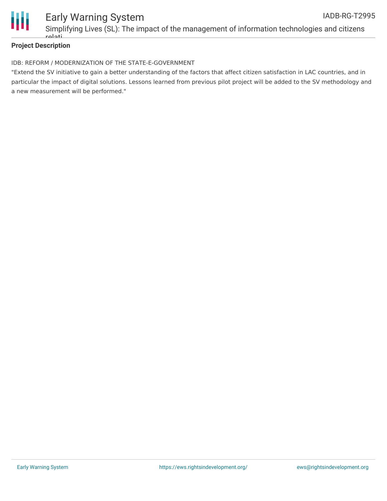

# **Project Description**

### IDB: REFORM / MODERNIZATION OF THE STATE-E-GOVERNMENT

"Extend the SV initiative to gain a better understanding of the factors that affect citizen satisfaction in LAC countries, and in particular the impact of digital solutions. Lessons learned from previous pilot project will be added to the SV methodology and a new measurement will be performed."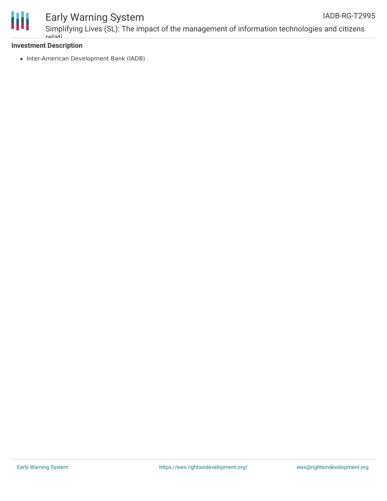

#### Early Warning System Simplifying Lives (SL): The impact of the management of information technologies and citizens relati IADB-RG-T2995

# **Investment Description**

• Inter-American Development Bank (IADB)